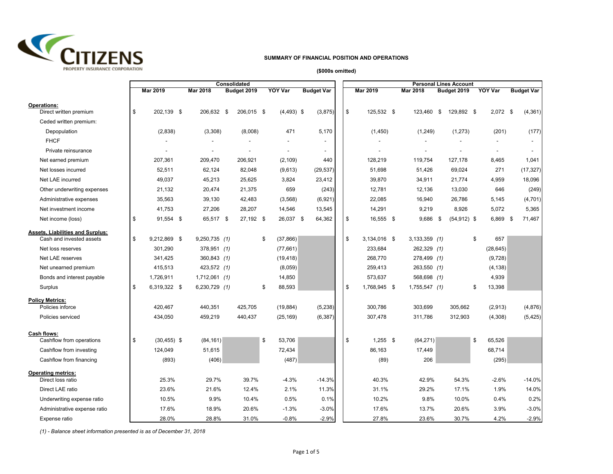

## **SUMMARY OF FINANCIAL POSITION AND OPERATIONS**

**(\$000s omitted)**

|                                                              | Consolidated |                |  |                 |    |             |    | <b>Personal Lines Account</b> |                   |    |              |  |                 |    |                |    |                |      |                          |
|--------------------------------------------------------------|--------------|----------------|--|-----------------|----|-------------|----|-------------------------------|-------------------|----|--------------|--|-----------------|----|----------------|----|----------------|------|--------------------------|
|                                                              |              | Mar 2019       |  | Mar 2018        |    | Budget 2019 |    | <b>YOY Var</b>                | <b>Budget Var</b> |    | Mar 2019     |  | <b>Mar 2018</b> |    | Budget 2019    |    | <b>YOY Var</b> |      | <b>Budget Var</b>        |
| <b>Operations:</b><br>Direct written premium                 | \$           | 202,139 \$     |  | 206,632         | \$ | 206,015 \$  |    | $(4,493)$ \$                  | (3,875)           | \$ | 125,532 \$   |  | 123,460         | \$ | 129,892 \$     |    | $2,072$ \$     |      | (4, 361)                 |
| Ceded written premium:                                       |              |                |  |                 |    |             |    |                               |                   |    |              |  |                 |    |                |    |                |      |                          |
| Depopulation                                                 |              | (2,838)        |  | (3,308)         |    | (8,008)     |    | 471                           | 5,170             |    | (1,450)      |  | (1,249)         |    | (1,273)        |    | (201)          |      | (177)                    |
| <b>FHCF</b>                                                  |              |                |  |                 |    |             |    |                               |                   |    |              |  |                 |    |                |    |                |      |                          |
| Private reinsurance                                          |              |                |  |                 |    |             |    |                               |                   |    |              |  |                 |    |                |    |                |      | $\overline{\phantom{a}}$ |
| Net earned premium                                           |              | 207,361        |  | 209,470         |    | 206,921     |    | (2, 109)                      | 440               |    | 128,219      |  | 119,754         |    | 127,178        |    | 8,465          |      | 1,041                    |
| Net losses incurred                                          |              | 52,511         |  | 62,124          |    | 82,048      |    | (9,613)                       | (29, 537)         |    | 51.698       |  | 51,426          |    | 69,024         |    | 271            |      | (17, 327)                |
| Net LAE incurred                                             |              | 49,037         |  | 45,213          |    | 25,625      |    | 3,824                         | 23,412            |    | 39,870       |  | 34,911          |    | 21,774         |    | 4,959          |      | 18,096                   |
| Other underwriting expenses                                  |              | 21,132         |  | 20,474          |    | 21,375      |    | 659                           | (243)             |    | 12.781       |  | 12,136          |    | 13,030         |    | 646            |      | (249)                    |
| Administrative expenses                                      |              | 35,563         |  | 39,130          |    | 42,483      |    | (3,568)                       | (6,921)           |    | 22,085       |  | 16,940          |    | 26,786         |    | 5,145          |      | (4,701)                  |
| Net investment income                                        |              | 41,753         |  | 27,206          |    | 28,207      |    | 14,546                        | 13,545            |    | 14,291       |  | 9,219           |    | 8,926          |    | 5,072          |      | 5,365                    |
| Net income (loss)                                            | \$           | 91,554 \$      |  | 65,517 \$       |    | 27,192 \$   |    | 26,037 \$                     | 64,362            | \$ | 16,555 \$    |  | 9,686           | \$ | $(54, 912)$ \$ |    | 6,869          | - \$ | 71,467                   |
| Assets, Liabilities and Surplus:<br>Cash and invested assets | \$           | 9,212,869 \$   |  | $9,250,735$ (1) |    |             | \$ | (37, 866)                     |                   | \$ | 3,134,016 \$ |  | $3,133,359$ (1) |    |                | \$ | 657            |      |                          |
| Net loss reserves                                            |              | 301,290        |  | 378,951 (1)     |    |             |    | (77, 661)                     |                   |    | 233,684      |  | 262,329 (1)     |    |                |    | (28, 645)      |      |                          |
| Net LAE reserves                                             |              | 341,425        |  | 360,843 (1)     |    |             |    | (19, 418)                     |                   |    | 268,770      |  | 278,499 (1)     |    |                |    | (9,728)        |      |                          |
| Net unearned premium                                         |              | 415,513        |  | 423,572 (1)     |    |             |    | (8,059)                       |                   |    | 259,413      |  | 263,550 (1)     |    |                |    | (4, 138)       |      |                          |
| Bonds and interest payable                                   |              | 1,726,911      |  | $1,712,061$ (1) |    |             |    | 14,850                        |                   |    | 573,637      |  | 568,698 (1)     |    |                |    | 4,939          |      |                          |
| Surplus                                                      | \$           | 6,319,322 \$   |  | 6,230,729 (1)   |    |             | \$ | 88,593                        |                   | \$ | 1,768,945 \$ |  | 1,755,547 (1)   |    |                | \$ | 13,398         |      |                          |
| <b>Policy Metrics:</b>                                       |              |                |  |                 |    |             |    |                               |                   |    |              |  |                 |    |                |    |                |      |                          |
| Policies inforce                                             |              | 420,467        |  | 440,351         |    | 425,705     |    | (19, 884)                     | (5, 238)          |    | 300,786      |  | 303,699         |    | 305,662        |    | (2,913)        |      | (4,876)                  |
| Policies serviced                                            |              | 434,050        |  | 459,219         |    | 440,437     |    | (25, 169)                     | (6, 387)          |    | 307,478      |  | 311,786         |    | 312,903        |    | (4,308)        |      | (5, 425)                 |
| Cash flows:<br>Cashflow from operations                      | \$           | $(30, 455)$ \$ |  | (84, 161)       |    |             | \$ | 53,706                        |                   | \$ | $1,255$ \$   |  | (64, 271)       |    |                | \$ | 65,526         |      |                          |
| Cashflow from investing                                      |              | 124,049        |  | 51,615          |    |             |    | 72,434                        |                   |    | 86,163       |  | 17,449          |    |                |    | 68,714         |      |                          |
| Cashflow from financing                                      |              | (893)          |  | (406)           |    |             |    | (487)                         |                   |    | (89)         |  | 206             |    |                |    | (295)          |      |                          |
| <b>Operating metrics:</b><br>Direct loss ratio               |              | 25.3%          |  | 29.7%           |    | 39.7%       |    | $-4.3%$                       | $-14.3%$          |    | 40.3%        |  | 42.9%           |    | 54.3%          |    | $-2.6%$        |      | $-14.0%$                 |
| Direct LAE ratio                                             |              | 23.6%          |  | 21.6%           |    | 12.4%       |    | 2.1%                          | 11.3%             |    | 31.1%        |  | 29.2%           |    | 17.1%          |    | 1.9%           |      | 14.0%                    |
| Underwriting expense ratio                                   |              | 10.5%          |  | 9.9%            |    | 10.4%       |    | 0.5%                          | 0.1%              |    | 10.2%        |  | 9.8%            |    | 10.0%          |    | 0.4%           |      | 0.2%                     |
| Administrative expense ratio                                 |              | 17.6%          |  | 18.9%           |    | 20.6%       |    | $-1.3%$                       | $-3.0%$           |    | 17.6%        |  | 13.7%           |    | 20.6%          |    | 3.9%           |      | $-3.0%$                  |
| Expense ratio                                                |              | 28.0%          |  | 28.8%           |    | 31.0%       |    | $-0.8%$                       | $-2.9%$           |    | 27.8%        |  | 23.6%           |    | 30.7%          |    | 4.2%           |      | $-2.9%$                  |

*(1) - Balance sheet information presented is as of December 31, 2018*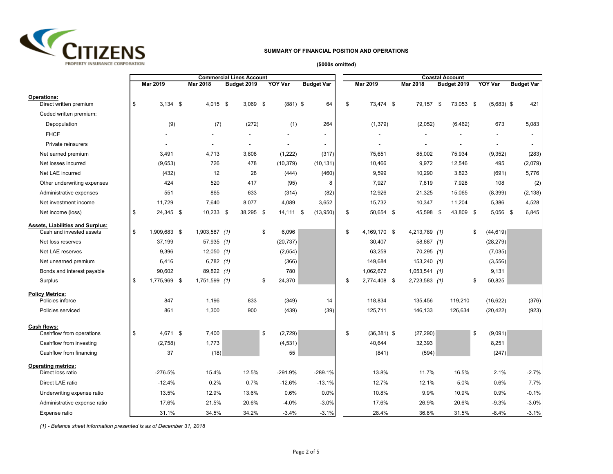

## **SUMMARY OF FINANCIAL POSITION AND OPERATIONS**

## **(\$000s omitted)**

|                                                                     | <b>Commercial Lines Account</b> |              |  |                 |  |             |    | <b>Coastal Account</b> |                   |  |    |               |  |                 |  |             |    |                |  |                   |
|---------------------------------------------------------------------|---------------------------------|--------------|--|-----------------|--|-------------|----|------------------------|-------------------|--|----|---------------|--|-----------------|--|-------------|----|----------------|--|-------------------|
|                                                                     |                                 | Mar 2019     |  | Mar 2018        |  | Budget 2019 |    | <b>YOY Var</b>         | <b>Budget Var</b> |  |    | Mar 2019      |  | Mar 2018        |  | Budget 2019 |    | <b>YOY Var</b> |  | <b>Budget Var</b> |
| <b>Operations:</b><br>Direct written premium                        | \$                              | $3,134$ \$   |  | $4,015$ \$      |  | $3,069$ \$  |    | $(881)$ \$             | 64                |  | \$ | 73,474 \$     |  | 79,157 \$       |  | 73,053 \$   |    | $(5,683)$ \$   |  | 421               |
| Ceded written premium:                                              |                                 |              |  |                 |  |             |    |                        |                   |  |    |               |  |                 |  |             |    |                |  |                   |
| Depopulation                                                        |                                 | (9)          |  | (7)             |  | (272)       |    | (1)                    | 264               |  |    | (1, 379)      |  | (2,052)         |  | (6, 462)    |    | 673            |  | 5,083             |
| <b>FHCF</b>                                                         |                                 |              |  |                 |  |             |    |                        |                   |  |    |               |  |                 |  |             |    |                |  |                   |
| Private reinsurers                                                  |                                 |              |  |                 |  |             |    |                        |                   |  |    |               |  |                 |  |             |    |                |  |                   |
| Net earned premium                                                  |                                 | 3,491        |  | 4,713           |  | 3,808       |    | (1,222)                | (317)             |  |    | 75,651        |  | 85,002          |  | 75,934      |    | (9,352)        |  | (283)             |
| Net losses incurred                                                 |                                 | (9,653)      |  | 726             |  | 478         |    | (10, 379)              | (10, 131)         |  |    | 10,466        |  | 9,972           |  | 12,546      |    | 495            |  | (2,079)           |
| Net LAE incurred                                                    |                                 | (432)        |  | 12              |  | 28          |    | (444)                  | (460)             |  |    | 9,599         |  | 10,290          |  | 3,823       |    | (691)          |  | 5,776             |
| Other underwriting expenses                                         |                                 | 424          |  | 520             |  | 417         |    | (95)                   | 8                 |  |    | 7,927         |  | 7,819           |  | 7,928       |    | 108            |  | (2)               |
| Administrative expenses                                             |                                 | 551          |  | 865             |  | 633         |    | (314)                  | (82)              |  |    | 12,926        |  | 21,325          |  | 15,065      |    | (8,399)        |  | (2, 138)          |
| Net investment income                                               |                                 | 11,729       |  | 7,640           |  | 8,077       |    | 4,089                  | 3,652             |  |    | 15,732        |  | 10,347          |  | 11,204      |    | 5,386          |  | 4,528             |
| Net income (loss)                                                   | \$                              | 24,345 \$    |  | $10,233$ \$     |  | 38,295 \$   |    | 14,111 \$              | (13,950)          |  | \$ | 50,654 \$     |  | 45,598 \$       |  | 43,809 \$   |    | $5,056$ \$     |  | 6,845             |
| <b>Assets, Liabilities and Surplus:</b><br>Cash and invested assets | \$                              | 1,909,683 \$ |  | $1,903,587$ (1) |  |             | \$ | 6,096                  |                   |  | \$ | 4,169,170 \$  |  | 4,213,789 (1)   |  |             | \$ | (44, 619)      |  |                   |
| Net loss reserves                                                   |                                 | 37,199       |  | $57,935$ (1)    |  |             |    | (20, 737)              |                   |  |    | 30,407        |  | 58,687 (1)      |  |             |    | (28, 279)      |  |                   |
| Net LAE reserves                                                    |                                 | 9,396        |  | $12,050$ (1)    |  |             |    | (2,654)                |                   |  |    | 63,259        |  | $70,295$ (1)    |  |             |    | (7,035)        |  |                   |
| Net unearned premium                                                |                                 | 6,416        |  | $6,782$ (1)     |  |             |    | (366)                  |                   |  |    | 149,684       |  | 153,240 (1)     |  |             |    | (3, 556)       |  |                   |
| Bonds and interest payable                                          |                                 | 90,602       |  | 89,822 (1)      |  |             |    | 780                    |                   |  |    | 1,062,672     |  | $1,053,541$ (1) |  |             |    | 9,131          |  |                   |
| Surplus                                                             | \$                              | 1,775,969 \$ |  | 1,751,599 (1)   |  |             | \$ | 24,370                 |                   |  | \$ | 2,774,408 \$  |  | 2,723,583 (1)   |  |             | \$ | 50,825         |  |                   |
| <b>Policy Metrics:</b>                                              |                                 |              |  |                 |  |             |    |                        |                   |  |    |               |  |                 |  |             |    |                |  |                   |
| Policies inforce                                                    |                                 | 847          |  | 1,196           |  | 833         |    | (349)                  | 14                |  |    | 118,834       |  | 135,456         |  | 119,210     |    | (16, 622)      |  | (376)             |
| Policies serviced                                                   |                                 | 861          |  | 1,300           |  | 900         |    | (439)                  | (39)              |  |    | 125,711       |  | 146,133         |  | 126,634     |    | (20, 422)      |  | (923)             |
| Cash flows:<br>Cashflow from operations                             | \$                              | 4,671 \$     |  | 7,400           |  |             | \$ | (2,729)                |                   |  | \$ | $(36,381)$ \$ |  | (27, 290)       |  |             | \$ | (9,091)        |  |                   |
| Cashflow from investing                                             |                                 | (2,758)      |  | 1,773           |  |             |    | (4, 531)               |                   |  |    | 40,644        |  | 32,393          |  |             |    | 8,251          |  |                   |
| Cashflow from financing                                             |                                 | 37           |  | (18)            |  |             |    | 55                     |                   |  |    | (841)         |  | (594)           |  |             |    | (247)          |  |                   |
| <b>Operating metrics:</b><br>Direct loss ratio                      |                                 | $-276.5%$    |  | 15.4%           |  | 12.5%       |    | -291.9%                | $-289.1%$         |  |    | 13.8%         |  | 11.7%           |  | 16.5%       |    | 2.1%           |  | $-2.7%$           |
| Direct LAE ratio                                                    |                                 | $-12.4%$     |  | 0.2%            |  | 0.7%        |    | $-12.6%$               | $-13.1%$          |  |    | 12.7%         |  | 12.1%           |  | 5.0%        |    | 0.6%           |  | 7.7%              |
| Underwriting expense ratio                                          |                                 | 13.5%        |  | 12.9%           |  | 13.6%       |    | 0.6%                   | 0.0%              |  |    | 10.8%         |  | 9.9%            |  | 10.9%       |    | 0.9%           |  | $-0.1%$           |
| Administrative expense ratio                                        |                                 | 17.6%        |  | 21.5%           |  | 20.6%       |    | $-4.0%$                | $-3.0%$           |  |    | 17.6%         |  | 26.9%           |  | 20.6%       |    | $-9.3%$        |  | $-3.0%$           |
| Expense ratio                                                       |                                 | 31.1%        |  | 34.5%           |  | 34.2%       |    | $-3.4%$                | $-3.1%$           |  |    | 28.4%         |  | 36.8%           |  | 31.5%       |    | $-8.4%$        |  | $-3.1%$           |

*(1) - Balance sheet information presented is as of December 31, 2018*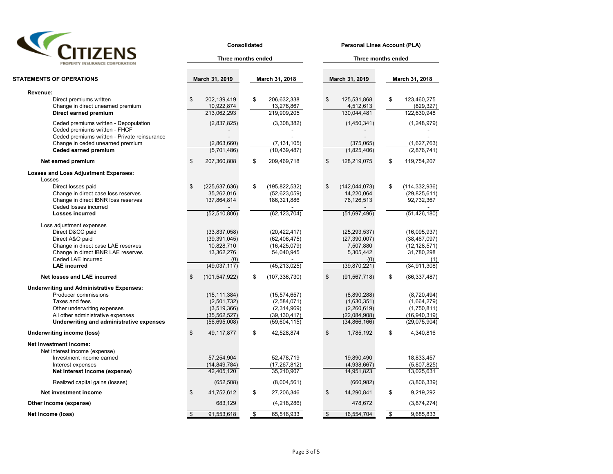| UIZE                           |
|--------------------------------|
| PROPERTY INSURANCE CORPORATION |

| PROPERTY INSURANCE CORPORATION                                                                                                                                                                             |                    | Three months ended                                                                  |                           |                                                                                    | Three months ended    |                                                                                     |                          |                                                                                         |  |  |  |
|------------------------------------------------------------------------------------------------------------------------------------------------------------------------------------------------------------|--------------------|-------------------------------------------------------------------------------------|---------------------------|------------------------------------------------------------------------------------|-----------------------|-------------------------------------------------------------------------------------|--------------------------|-----------------------------------------------------------------------------------------|--|--|--|
| <b>STATEMENTS OF OPERATIONS</b>                                                                                                                                                                            |                    | March 31, 2019                                                                      |                           | March 31, 2018                                                                     |                       | March 31, 2019                                                                      |                          | March 31, 2018                                                                          |  |  |  |
|                                                                                                                                                                                                            |                    |                                                                                     |                           |                                                                                    |                       |                                                                                     |                          |                                                                                         |  |  |  |
| Revenue:<br>Direct premiums written<br>Change in direct unearned premium                                                                                                                                   | \$                 | 202,139,419<br>10,922,874                                                           | \$                        | 206,632,338<br>13,276,867                                                          | \$                    | 125,531,868<br>4,512,613                                                            | \$                       | 123,460,275<br>(829, 327)                                                               |  |  |  |
| Direct earned premium                                                                                                                                                                                      |                    | 213,062,293                                                                         |                           | 219,909,205                                                                        |                       | 130,044,481                                                                         |                          | 122,630,948                                                                             |  |  |  |
| Ceded premiums written - Depopulation<br>Ceded premiums written - FHCF<br>Ceded premiums written - Private reinsurance<br>Change in ceded unearned premium<br><b>Ceded earned premium</b>                  |                    | (2,837,825)<br>(2,863,660)<br>(5,701,486)                                           |                           | (3,308,382)<br>(7, 131, 105)<br>(10, 439, 487)                                     |                       | (1,450,341)<br>(375,065)<br>(1,825,406)                                             |                          | (1,248,979)<br>(1,627,763)<br>(2,876,741)                                               |  |  |  |
| Net earned premium                                                                                                                                                                                         | \$                 | 207,360,808                                                                         | \$                        | 209,469,718                                                                        | \$                    | 128,219,075                                                                         | \$                       | 119,754,207                                                                             |  |  |  |
| <b>Losses and Loss Adjustment Expenses:</b><br>Losses                                                                                                                                                      |                    |                                                                                     |                           |                                                                                    |                       |                                                                                     |                          |                                                                                         |  |  |  |
| Direct losses paid<br>Change in direct case loss reserves<br>Change in direct IBNR loss reserves<br>Ceded losses incurred                                                                                  | \$                 | (225, 637, 636)<br>35,262,016<br>137,864,814                                        | \$                        | (195, 822, 532)<br>(52,623,059)<br>186,321,886                                     | \$                    | (142, 044, 073)<br>14,220,064<br>76,126,513                                         | \$                       | (114, 332, 936)<br>(29, 825, 611)<br>92,732,367                                         |  |  |  |
| <b>Losses incurred</b>                                                                                                                                                                                     |                    | (52, 510, 806)                                                                      |                           | (62, 123, 704)                                                                     |                       | (51,697,496)                                                                        |                          | (51, 426, 180)                                                                          |  |  |  |
| Loss adjustment expenses<br>Direct D&CC paid<br>Direct A&O paid<br>Change in direct case LAE reserves<br>Change in direct IBNR LAE reserves<br>Ceded LAE incurred<br><b>LAE</b> incurred                   |                    | (33, 837, 058)<br>(39, 391, 045)<br>10,828,710<br>13,362,276<br>(0)<br>(49,037,117) |                           | (20, 422, 417)<br>(62, 406, 475)<br>(16, 425, 079)<br>54,040,945<br>(45, 213, 025) |                       | (25, 293, 537)<br>(27, 390, 007)<br>7,507,880<br>5,305,442<br>(0)<br>(39, 870, 221) |                          | (16,095,937)<br>(38, 467, 097)<br>(12, 128, 571)<br>31,780,298<br>(1)<br>(34, 911, 308) |  |  |  |
| Net losses and LAE incurred                                                                                                                                                                                | \$                 | (101, 547, 922)                                                                     | \$                        | (107, 336, 730)                                                                    | \$                    | (91, 567, 718)                                                                      | \$                       | (86, 337, 487)                                                                          |  |  |  |
| <b>Underwriting and Administrative Expenses:</b><br>Producer commissions<br>Taxes and fees<br>Other underwriting expenses<br>All other administrative expenses<br>Underwriting and administrative expenses |                    | (15, 111, 384)<br>(2,501,732)<br>(3,519,366)<br>(35, 562, 527)<br>(56, 695, 008)    |                           | (15, 574, 657)<br>(2,584,071)<br>(2,314,969)<br>(39, 130, 417)<br>(59,604,115)     |                       | (8,890,288)<br>(1,630,351)<br>(2,260,619)<br>(22,084,908)<br>(34, 866, 166)         |                          | (8,720,494)<br>(1,664,279)<br>(1,750,811)<br>(16, 940, 319)<br>(29,075,904)             |  |  |  |
| <b>Underwriting income (loss)</b>                                                                                                                                                                          | \$                 | 49,117,877                                                                          | \$                        | 42,528,874                                                                         | \$                    | 1,785,192                                                                           | \$                       | 4,340,816                                                                               |  |  |  |
| <b>Net Investment Income:</b><br>Net interest income (expense)<br>Investment income earned                                                                                                                 |                    | 57,254,904                                                                          |                           | 52,478,719                                                                         |                       | 19,890,490                                                                          |                          | 18,833,457                                                                              |  |  |  |
| Interest expenses<br>Net interest income (expense)                                                                                                                                                         |                    | (14, 849, 784)<br>42,405,120                                                        |                           | (17, 267, 812)<br>35,210,907                                                       |                       | (4,938,667)<br>14,951,823                                                           |                          | (5,807,825)<br>13,025,631                                                               |  |  |  |
| Realized capital gains (losses)                                                                                                                                                                            |                    | (652, 508)                                                                          |                           | (8,004,561)                                                                        |                       | (660, 982)                                                                          |                          | (3,806,339)                                                                             |  |  |  |
| Net investment income                                                                                                                                                                                      | \$                 | 41,752,612                                                                          | \$                        | 27,206,346                                                                         | \$                    | 14,290,841                                                                          | \$                       | 9,219,292                                                                               |  |  |  |
| Other income (expense)                                                                                                                                                                                     |                    | 683,129                                                                             |                           | (4,218,286)                                                                        |                       | 478,672                                                                             |                          | (3,874,274)                                                                             |  |  |  |
| Net income (loss)                                                                                                                                                                                          | $\mathbf{\hat{s}}$ | 91,553,618                                                                          | $\overline{\mathfrak{s}}$ | 65,516,933                                                                         | $\boldsymbol{\theta}$ | 16,554,704                                                                          | $\overline{\mathcal{E}}$ | 9,685,833                                                                               |  |  |  |

**Consolidated Personal Lines Account (PLA)**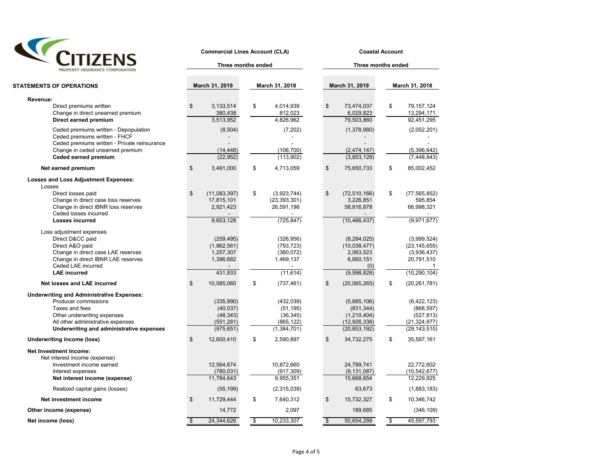

**Commercial Lines Account (CLA) Coastal Account** 

**Three months ended**

| PROPERTY INSURANCE CORPORATION                                                                                                                                                                             |                    | Three months ended                                             |                                                                     |               | Three months ended                                                            |                |                                                                                   |  |  |  |  |  |  |
|------------------------------------------------------------------------------------------------------------------------------------------------------------------------------------------------------------|--------------------|----------------------------------------------------------------|---------------------------------------------------------------------|---------------|-------------------------------------------------------------------------------|----------------|-----------------------------------------------------------------------------------|--|--|--|--|--|--|
| <b>STATEMENTS OF OPERATIONS</b>                                                                                                                                                                            |                    | March 31, 2019                                                 | March 31, 2018                                                      |               | March 31, 2019                                                                |                | March 31, 2018                                                                    |  |  |  |  |  |  |
|                                                                                                                                                                                                            |                    |                                                                |                                                                     |               |                                                                               |                |                                                                                   |  |  |  |  |  |  |
| Revenue:<br>Direct premiums written<br>Change in direct unearned premium<br>Direct earned premium                                                                                                          | \$                 | 3,133,514<br>380,438<br>3,513,952                              | \$<br>4,014,939<br>812,023<br>4,826,962                             | \$            | 73,474,037<br>6,029,823<br>79,503,860                                         | \$             | 79, 157, 124<br>13,294,171<br>92,451,295                                          |  |  |  |  |  |  |
| Ceded premiums written - Depopulation<br>Ceded premiums written - FHCF<br>Ceded premiums written - Private reinsurance<br>Change in ceded unearned premium<br>Ceded earned premium                         |                    | (8, 504)<br>(14, 448)<br>(22, 952)                             | (7,202)<br>(106, 700)<br>(113,902)                                  |               | (1,378,980)<br>(2,474,147)<br>(3,853,128)                                     |                | (2,052,201)<br>(5,396,642)<br>(7, 448, 843)                                       |  |  |  |  |  |  |
| Net earned premium                                                                                                                                                                                         | $\mathfrak s$      | 3,491,000                                                      | \$<br>4,713,059                                                     | \$            | 75,650,733                                                                    | \$             | 85,002,452                                                                        |  |  |  |  |  |  |
| <b>Losses and Loss Adjustment Expenses:</b><br>Losses<br>Direct losses paid                                                                                                                                | \$                 | (11,083,397)                                                   | \$<br>(3,923,744)                                                   | \$            | (72, 510, 166)                                                                | \$             | (77, 565, 852)                                                                    |  |  |  |  |  |  |
| Change in direct case loss reserves<br>Change in direct IBNR loss reserves<br>Ceded losses incurred                                                                                                        |                    | 17,815,101<br>2,921,423                                        | (23, 393, 301)<br>26,591,198                                        |               | 3,226,851<br>58,816,878                                                       |                | 595,854<br>66,998,321                                                             |  |  |  |  |  |  |
| Losses incurred                                                                                                                                                                                            |                    | 9,653,128                                                      | (725, 847)                                                          |               | (10, 466, 437)                                                                |                | (9,971,677)                                                                       |  |  |  |  |  |  |
| Loss adjustment expenses<br>Direct D&CC paid<br>Direct A&O paid<br>Change in direct case LAE reserves<br>Change in direct IBNR LAE reserves<br>Ceded LAE incurred<br><b>LAE</b> incurred                   |                    | (259, 495)<br>(1,962,561)<br>1,257,307<br>1,396,682<br>431,933 | (326, 956)<br>(793, 723)<br>(360, 072)<br>1,469,137<br>(11, 614)    |               | (8, 284, 025)<br>(10,038,477)<br>2,063,523<br>6,660,151<br>(0)<br>(9,598,828) |                | (3,999,524)<br>(23, 145, 655)<br>(3,936,437)<br>20,791,510<br>1<br>(10, 290, 104) |  |  |  |  |  |  |
| Net losses and LAE incurred                                                                                                                                                                                | \$                 | 10,085,060                                                     | \$<br>(737, 461)                                                    | \$            | (20,065,265)                                                                  | \$             | (20, 261, 781)                                                                    |  |  |  |  |  |  |
| <b>Underwriting and Administrative Expenses:</b><br>Producer commissions<br>Taxes and fees<br>Other underwriting expenses<br>All other administrative expenses<br>Underwriting and administrative expenses |                    | (335,990)<br>(40, 037)<br>(48, 343)<br>(551,281)<br>(975, 651) | (432, 039)<br>(51, 195)<br>(36, 345)<br>(865, 122)<br>(1, 384, 701) |               | (5,885,106)<br>(831, 344)<br>(1,210,404)<br>(12, 926, 338)<br>(20, 853, 192)  |                | (6, 422, 123)<br>(868, 597)<br>(527, 813)<br>(21, 324, 977)<br>(29, 143, 510)     |  |  |  |  |  |  |
| <b>Underwriting income (loss)</b>                                                                                                                                                                          | \$                 | 12,600,410                                                     | \$<br>2,590,897                                                     | \$            | 34,732,275                                                                    | \$             | 35,597,161                                                                        |  |  |  |  |  |  |
| Net Investment Income:<br>Net interest income (expense)<br>Investment income earned<br>Interest expenses<br>Net interest income (expense)                                                                  |                    | 12,564,674<br>(780, 031)<br>11,784,643                         | 10,872,660<br>(917, 309)<br>9,955,351                               |               | 24,799,741<br>(9, 131, 087)<br>15,668,654                                     |                | 22,772,602<br>(10, 542, 677)<br>12,229,925                                        |  |  |  |  |  |  |
| Realized capital gains (losses)                                                                                                                                                                            |                    | (55, 199)                                                      | (2,315,039)                                                         |               | 63,673                                                                        |                | (1,883,183)                                                                       |  |  |  |  |  |  |
| Net investment income                                                                                                                                                                                      | \$                 | 11,729,444                                                     | \$<br>7,640,312                                                     | \$            | 15,732,327                                                                    | \$             | 10,346,742                                                                        |  |  |  |  |  |  |
| Other income (expense)                                                                                                                                                                                     |                    | 14,772                                                         | 2,097                                                               |               | 189,685                                                                       |                | (346, 109)                                                                        |  |  |  |  |  |  |
| Net income (loss)                                                                                                                                                                                          | $\mathbf{\hat{s}}$ | 24,344,626                                                     | \$<br>10,233,307                                                    | $\frac{1}{2}$ | 50,654,288                                                                    | $\mathfrak{s}$ | 45,597,793                                                                        |  |  |  |  |  |  |